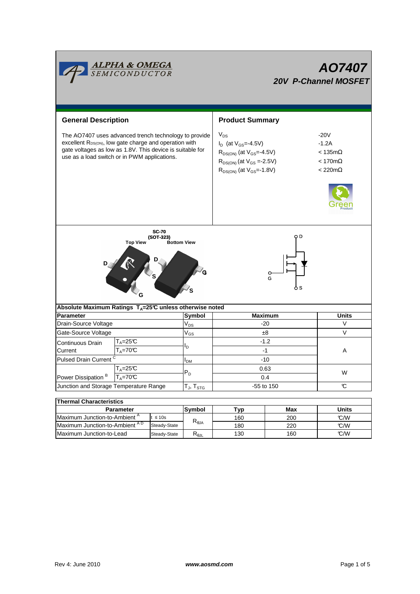

| <b>Parameter</b>                          |              | <b>Symbol</b> | Tvp. | Max | Units |
|-------------------------------------------|--------------|---------------|------|-----|-------|
| Maximum Junction-to-Ambient <sup>"</sup>  | t ≤ 10s      | ιπα           | 160  | 200 | C/W   |
| Maximum Junction-to-Ambient <sup>AD</sup> | Steady-State |               | 180  | 220 | C/W   |
| Maximum Junction-to-Lead                  | Steady-State | Ւ⊕յլ          | 130  | 160 | C/W   |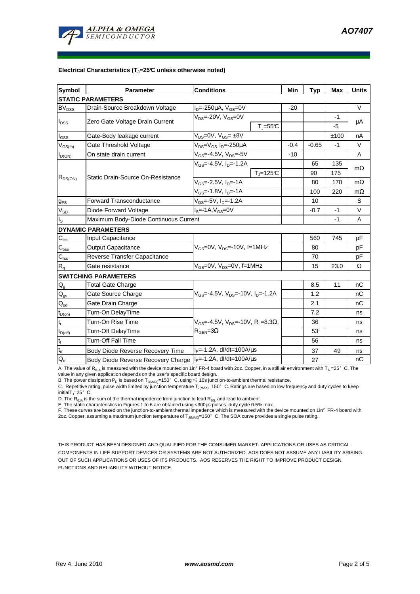

#### **Electrical Characteristics (TJ=25°C unless otherwise noted)**

| <b>Symbol</b>                          | Parameter                                                    | <b>Conditions</b>                                                                             |               | Min    | <b>Typ</b> | <b>Max</b> | <b>Units</b> |  |  |  |  |
|----------------------------------------|--------------------------------------------------------------|-----------------------------------------------------------------------------------------------|---------------|--------|------------|------------|--------------|--|--|--|--|
| <b>STATIC PARAMETERS</b>               |                                                              |                                                                                               |               |        |            |            |              |  |  |  |  |
| <b>BV<sub>DSS</sub></b>                | Drain-Source Breakdown Voltage                               | $I_D$ =-250µA, $V_{GS}$ =0V                                                                   |               | $-20$  |            |            | V            |  |  |  |  |
| $I_{DSS}$                              | Zero Gate Voltage Drain Current                              | $V_{DS}$ =-20V, $V_{GS}$ =0V                                                                  |               |        |            | -1         |              |  |  |  |  |
|                                        |                                                              |                                                                                               | $T_{J} = 55C$ |        |            | $-5$       | μA           |  |  |  |  |
| l <sub>GSS</sub>                       | Gate-Body leakage current                                    | $V_{DS} = 0V$ , $V_{GS} = \pm 8V$                                                             |               |        |            | ±100       | nA           |  |  |  |  |
| $V_{GS(th)}$                           | Gate Threshold Voltage                                       | $V_{DS} = V_{GS} I_D = -250 \mu A$                                                            |               | $-0.4$ | $-0.65$    | $-1$       | V            |  |  |  |  |
| $I_{D(ON)}$                            | On state drain current                                       | $V_{GS}$ =-4.5V, $V_{DS}$ =-5V                                                                |               | $-10$  |            |            | A            |  |  |  |  |
| $R_{DS(ON)}$                           | Static Drain-Source On-Resistance                            | $V_{GS}$ =-4.5V, $I_{D}$ =-1.2A                                                               |               |        | 65         | 135        |              |  |  |  |  |
|                                        |                                                              |                                                                                               | $T_i = 125C$  |        | 90         | 175        | $m\Omega$    |  |  |  |  |
|                                        |                                                              | $V_{GS}$ =-2.5V, I <sub>D</sub> =-1A                                                          |               |        | 80         | 170        | $m\Omega$    |  |  |  |  |
|                                        |                                                              | V <sub>GS</sub> =-1.8V, I <sub>D</sub> =-1A                                                   |               |        | 100        | 220        | $m\Omega$    |  |  |  |  |
| $g_{FS}$                               | <b>Forward Transconductance</b>                              | $V_{DS}$ =-5V, I <sub>D</sub> =-1.2A                                                          |               |        | 10         |            | S            |  |  |  |  |
| $V_{SD}$                               | Diode Forward Voltage                                        | $Is=-1A, VGS=0V$                                                                              |               |        | $-0.7$     | $-1$       | $\vee$       |  |  |  |  |
| Is                                     | Maximum Body-Diode Continuous Current                        |                                                                                               |               |        |            | $-1$       | A            |  |  |  |  |
|                                        | <b>DYNAMIC PARAMETERS</b>                                    |                                                                                               |               |        |            |            |              |  |  |  |  |
| $C_{iss}$                              | Input Capacitance                                            | $V_{GS}$ =0V, $V_{DS}$ =-10V, f=1MHz                                                          |               |        | 560        | 745        | pF           |  |  |  |  |
| $C_{\rm oss}$                          | <b>Output Capacitance</b>                                    |                                                                                               |               |        | 80         |            | рF           |  |  |  |  |
| $C_{\text{rss}}$                       | Reverse Transfer Capacitance                                 |                                                                                               |               |        | 70         |            | рF           |  |  |  |  |
| R <sub>g</sub>                         | Gate resistance                                              | $V_{GS}$ =0V, $V_{DS}$ =0V, f=1MHz                                                            |               |        | 15         | 23.0       | Ω            |  |  |  |  |
|                                        | <b>SWITCHING PARAMETERS</b>                                  |                                                                                               |               |        |            |            |              |  |  |  |  |
| $\mathsf{Q}_{\mathsf{g}}$              | <b>Total Gate Charge</b>                                     | $V_{GS}$ =-4.5V, $V_{DS}$ =-10V, $I_{D}$ =-1.2A                                               |               |        | 8.5        | 11         | nC           |  |  |  |  |
| $\mathsf{Q}_{\mathsf{gs}}$             | Gate Source Charge                                           |                                                                                               |               |        | 1.2        |            | nC           |  |  |  |  |
| $\mathsf{Q}_{\underline{\mathsf{gd}}}$ | Gate Drain Charge                                            |                                                                                               |               |        | 2.1        |            | nC           |  |  |  |  |
| $t_{D(on)}$                            | Turn-On DelayTime                                            |                                                                                               |               |        | 7.2        |            | ns           |  |  |  |  |
| $t_r$                                  | Turn-On Rise Time                                            | $V_{GS}$ =-4.5V, $V_{DS}$ =-10V, R <sub>L</sub> =8.3 $\Omega$ ,<br>$R_{\text{GEN}} = 3\Omega$ |               |        | 36         |            | ns           |  |  |  |  |
| $t_{D(off)}$                           | Turn-Off DelayTime                                           |                                                                                               |               |        | 53         |            | ns           |  |  |  |  |
| $t_f$                                  | Turn-Off Fall Time                                           |                                                                                               |               |        | 56         |            | ns           |  |  |  |  |
| $\mathsf{t}_\mathsf{rr}$               | Body Diode Reverse Recovery Time                             | $I_F = -1.2A$ , dl/dt=100A/ $\mu$ s                                                           |               |        | 37         | 49         | ns           |  |  |  |  |
| $\mathsf{Q}_{\mathsf{rr}}$             | Body Diode Reverse Recovery Charge   IF=-1.2A, dl/dt=100A/us |                                                                                               |               |        | 27         |            | nC           |  |  |  |  |

A. The value of R<sub>BJA</sub> is measured with the device mounted on 1in<sup>2</sup> FR-4 board with 2oz. Copper, in a still air environment with T<sub>A</sub> =25°C. The value in any given application depends on the user's specific board design.

B. The power dissipation  ${\sf P}_{\sf D}$  is based on  ${\sf T}_{\sf J(MAX)}$ =150 $^\circ\,$  C, using  $\leqslant$  10s junction-to-ambient thermal resistance.

C. Repetitive rating, pulse width limited by junction temperature  $T_{J(MAX)}$ =150°C. Ratings are based on low frequency and duty cycles to keep initial $T$ <sub>J</sub>=25° C.

D. The R<sub>6JA</sub> is the sum of the thermal impedence from junction to lead R<sub>θJL</sub> and lead to ambient.<br>E. The static characteristics in Figures 1 to 6 are obtained using <300μs pulses, duty cycle 0.5% max.<br>F. These curves ar

2oz. Copper, assuming a maximum junction temperature of T<sub>J(MAX)</sub>=150°C. The SOA curve provides a single pulse rating.

THIS PRODUCT HAS BEEN DESIGNED AND QUALIFIED FOR THE CONSUMER MARKET. APPLICATIONS OR USES AS CRITICAL COMPONENTS IN LIFE SUPPORT DEVICES OR SYSTEMS ARE NOT AUTHORIZED. AOS DOES NOT ASSUME ANY LIABILITY ARISING OUT OF SUCH APPLICATIONS OR USES OF ITS PRODUCTS. AOS RESERVES THE RIGHT TO IMPROVE PRODUCT DESIGN, FUNCTIONS AND RELIABILITY WITHOUT NOTICE.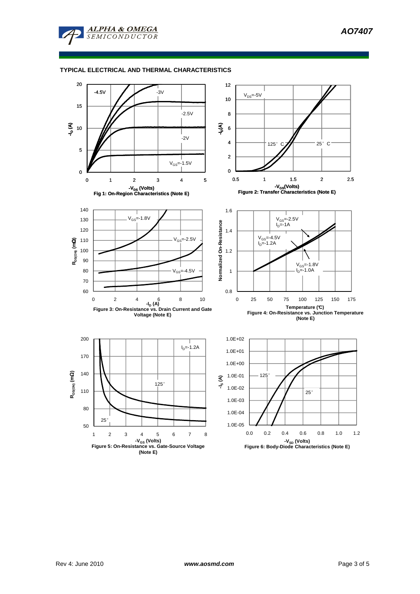**AO7407** 



**ALPHA & OMEGA**  $\overline{SEMICONDUCTOR}$ 

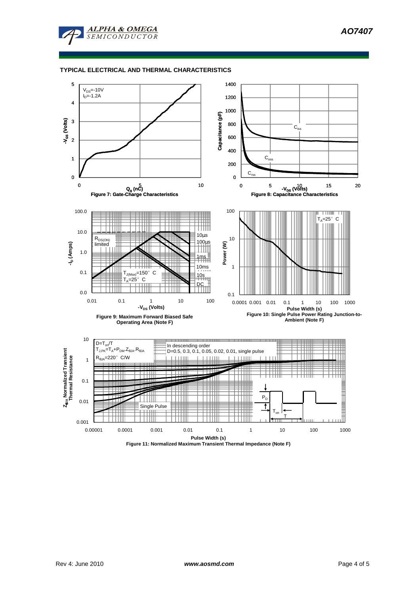**AO7407** 



# **TYPICAL ELECTRICAL AND THERMAL CHARACTERISTICS**